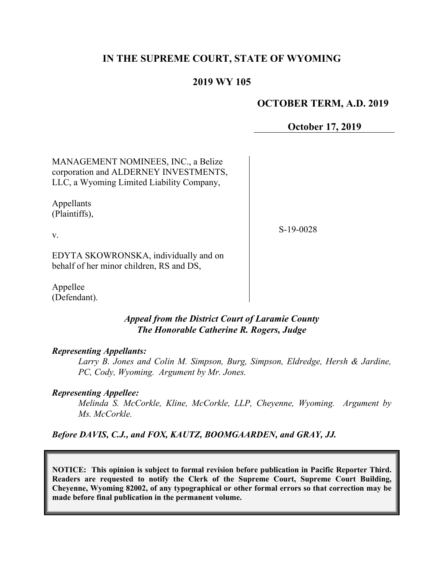## **IN THE SUPREME COURT, STATE OF WYOMING**

## **2019 WY 105**

#### **OCTOBER TERM, A.D. 2019**

**October 17, 2019**

MANAGEMENT NOMINEES, INC., a Belize corporation and ALDERNEY INVESTMENTS, LLC, a Wyoming Limited Liability Company,

Appellants (Plaintiffs),

v.

S-19-0028

EDYTA SKOWRONSKA, individually and on behalf of her minor children, RS and DS,

Appellee (Defendant).

#### *Appeal from the District Court of Laramie County The Honorable Catherine R. Rogers, Judge*

#### *Representing Appellants:*

*Larry B. Jones and Colin M. Simpson, Burg, Simpson, Eldredge, Hersh & Jardine, PC, Cody, Wyoming. Argument by Mr. Jones.*

#### *Representing Appellee:*

*Melinda S. McCorkle, Kline, McCorkle, LLP, Cheyenne, Wyoming. Argument by Ms. McCorkle.*

#### *Before DAVIS, C.J., and FOX, KAUTZ, BOOMGAARDEN, and GRAY, JJ.*

**NOTICE: This opinion is subject to formal revision before publication in Pacific Reporter Third. Readers are requested to notify the Clerk of the Supreme Court, Supreme Court Building, Cheyenne, Wyoming 82002, of any typographical or other formal errors so that correction may be made before final publication in the permanent volume.**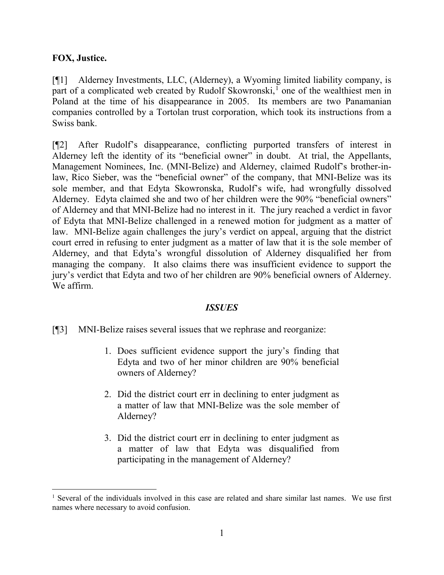## **FOX, Justice.**

[¶1] Alderney Investments, LLC, (Alderney), a Wyoming limited liability company, is part of a complicated web created by Rudolf Skowronski,<sup>[1](#page-1-0)</sup> one of the wealthiest men in Poland at the time of his disappearance in 2005. Its members are two Panamanian companies controlled by a Tortolan trust corporation, which took its instructions from a Swiss bank.

[¶2] After Rudolf's disappearance, conflicting purported transfers of interest in Alderney left the identity of its "beneficial owner" in doubt. At trial, the Appellants, Management Nominees, Inc. (MNI-Belize) and Alderney, claimed Rudolf's brother-inlaw, Rico Sieber, was the "beneficial owner" of the company, that MNI-Belize was its sole member, and that Edyta Skowronska, Rudolf's wife, had wrongfully dissolved Alderney. Edyta claimed she and two of her children were the 90% "beneficial owners" of Alderney and that MNI-Belize had no interest in it. The jury reached a verdict in favor of Edyta that MNI-Belize challenged in a renewed motion for judgment as a matter of law. MNI-Belize again challenges the jury's verdict on appeal, arguing that the district court erred in refusing to enter judgment as a matter of law that it is the sole member of Alderney, and that Edyta's wrongful dissolution of Alderney disqualified her from managing the company. It also claims there was insufficient evidence to support the jury's verdict that Edyta and two of her children are 90% beneficial owners of Alderney. We affirm.

## *ISSUES*

[¶3] MNI-Belize raises several issues that we rephrase and reorganize:

- 1. Does sufficient evidence support the jury's finding that Edyta and two of her minor children are 90% beneficial owners of Alderney?
- 2. Did the district court err in declining to enter judgment as a matter of law that MNI-Belize was the sole member of Alderney?
- 3. Did the district court err in declining to enter judgment as a matter of law that Edyta was disqualified from participating in the management of Alderney?

<span id="page-1-0"></span><sup>&</sup>lt;sup>1</sup> Several of the individuals involved in this case are related and share similar last names. We use first names where necessary to avoid confusion.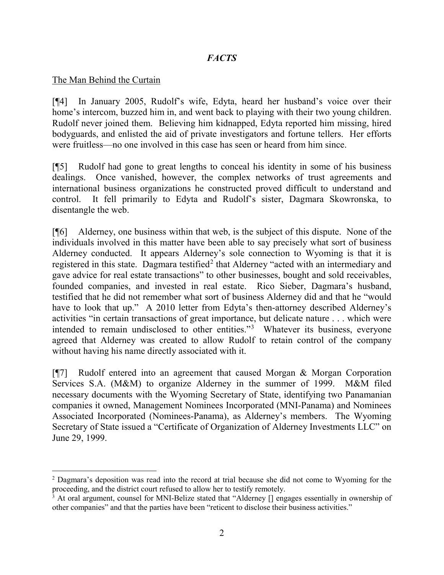# *FACTS*

#### The Man Behind the Curtain

[¶4] In January 2005, Rudolf's wife, Edyta, heard her husband's voice over their home's intercom, buzzed him in, and went back to playing with their two young children. Rudolf never joined them. Believing him kidnapped, Edyta reported him missing, hired bodyguards, and enlisted the aid of private investigators and fortune tellers. Her efforts were fruitless—no one involved in this case has seen or heard from him since.

[¶5] Rudolf had gone to great lengths to conceal his identity in some of his business dealings. Once vanished, however, the complex networks of trust agreements and international business organizations he constructed proved difficult to understand and control. It fell primarily to Edyta and Rudolf's sister, Dagmara Skowronska, to disentangle the web.

[¶6] Alderney, one business within that web, is the subject of this dispute. None of the individuals involved in this matter have been able to say precisely what sort of business Alderney conducted. It appears Alderney's sole connection to Wyoming is that it is registered in this state. Dagmara testified<sup>[2](#page-2-0)</sup> that Alderney "acted with an intermediary and gave advice for real estate transactions" to other businesses, bought and sold receivables, founded companies, and invested in real estate. Rico Sieber, Dagmara's husband, testified that he did not remember what sort of business Alderney did and that he "would have to look that up." A 2010 letter from Edyta's then-attorney described Alderney's activities "in certain transactions of great importance, but delicate nature . . . which were intended to remain undisclosed to other entities."[3](#page-2-1) Whatever its business, everyone agreed that Alderney was created to allow Rudolf to retain control of the company without having his name directly associated with it.

[¶7] Rudolf entered into an agreement that caused Morgan & Morgan Corporation Services S.A. (M&M) to organize Alderney in the summer of 1999. M&M filed necessary documents with the Wyoming Secretary of State, identifying two Panamanian companies it owned, Management Nominees Incorporated (MNI-Panama) and Nominees Associated Incorporated (Nominees-Panama), as Alderney's members. The Wyoming Secretary of State issued a "Certificate of Organization of Alderney Investments LLC" on June 29, 1999.

<span id="page-2-0"></span><sup>&</sup>lt;sup>2</sup> Dagmara's deposition was read into the record at trial because she did not come to Wyoming for the proceeding, and the district court refused to allow her to testify remotely.

<span id="page-2-1"></span><sup>3</sup> At oral argument, counsel for MNI-Belize stated that "Alderney [] engages essentially in ownership of other companies" and that the parties have been "reticent to disclose their business activities."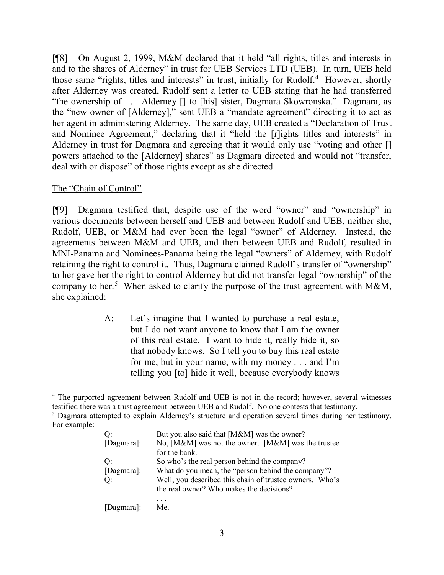[¶8] On August 2, 1999, M&M declared that it held "all rights, titles and interests in and to the shares of Alderney" in trust for UEB Services LTD (UEB). In turn, UEB held those same "rights, titles and interests" in trust, initially for Rudolf.<sup>[4](#page-3-0)</sup> However, shortly after Alderney was created, Rudolf sent a letter to UEB stating that he had transferred "the ownership of . . . Alderney [] to [his] sister, Dagmara Skowronska." Dagmara, as the "new owner of [Alderney]," sent UEB a "mandate agreement" directing it to act as her agent in administering Alderney. The same day, UEB created a "Declaration of Trust and Nominee Agreement," declaring that it "held the [r]ights titles and interests" in Alderney in trust for Dagmara and agreeing that it would only use "voting and other [] powers attached to the [Alderney] shares" as Dagmara directed and would not "transfer, deal with or dispose" of those rights except as she directed.

## The "Chain of Control"

[¶9] Dagmara testified that, despite use of the word "owner" and "ownership" in various documents between herself and UEB and between Rudolf and UEB, neither she, Rudolf, UEB, or M&M had ever been the legal "owner" of Alderney. Instead, the agreements between M&M and UEB, and then between UEB and Rudolf, resulted in MNI-Panama and Nominees-Panama being the legal "owners" of Alderney, with Rudolf retaining the right to control it. Thus, Dagmara claimed Rudolf's transfer of "ownership" to her gave her the right to control Alderney but did not transfer legal "ownership" of the company to her.<sup>[5](#page-3-1)</sup> When asked to clarify the purpose of the trust agreement with M&M, she explained:

> A: Let's imagine that I wanted to purchase a real estate, but I do not want anyone to know that I am the owner of this real estate. I want to hide it, really hide it, so that nobody knows. So I tell you to buy this real estate for me, but in your name, with my money . . . and I'm telling you [to] hide it well, because everybody knows

<span id="page-3-1"></span>For example:

| O:         | But you also said that [M&M] was the owner?             |
|------------|---------------------------------------------------------|
| [Dagmara]: | No, [M&M] was not the owner. [M&M] was the trustee      |
|            | for the bank.                                           |
| Q:         | So who's the real person behind the company?            |
| [Dagmara]: | What do you mean, the "person behind the company"?      |
| Q:         | Well, you described this chain of trustee owners. Who's |
|            | the real owner? Who makes the decisions?                |
|            |                                                         |
| [Dagmara]: | Me.                                                     |

<span id="page-3-0"></span><sup>&</sup>lt;sup>4</sup> The purported agreement between Rudolf and UEB is not in the record; however, several witnesses testified there was a trust agreement between UEB and Rudolf. No one contests that testimony.<br><sup>5</sup> Dagmara attempted to explain Alderney's structure and operation several times during her testimony.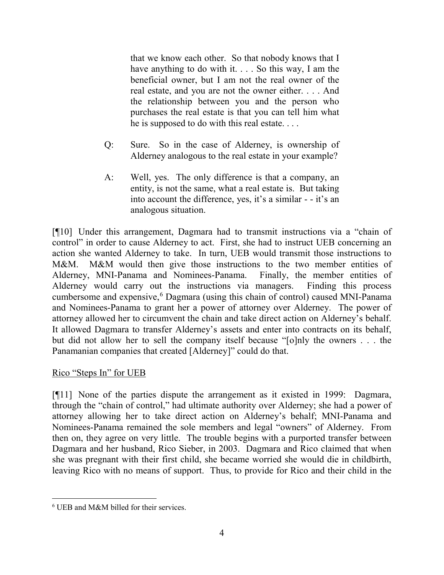that we know each other. So that nobody knows that I have anything to do with it. . . . So this way, I am the beneficial owner, but I am not the real owner of the real estate, and you are not the owner either. . . . And the relationship between you and the person who purchases the real estate is that you can tell him what he is supposed to do with this real estate. . . .

- Q: Sure. So in the case of Alderney, is ownership of Alderney analogous to the real estate in your example?
- A: Well, yes. The only difference is that a company, an entity, is not the same, what a real estate is. But taking into account the difference, yes, it's a similar - - it's an analogous situation.

[¶10] Under this arrangement, Dagmara had to transmit instructions via a "chain of control" in order to cause Alderney to act. First, she had to instruct UEB concerning an action she wanted Alderney to take. In turn, UEB would transmit those instructions to M&M. M&M would then give those instructions to the two member entities of Alderney, MNI-Panama and Nominees-Panama. Finally, the member entities of Alderney would carry out the instructions via managers. Finding this process cumbersome and expensive,<sup>[6](#page-4-0)</sup> Dagmara (using this chain of control) caused MNI-Panama and Nominees-Panama to grant her a power of attorney over Alderney. The power of attorney allowed her to circumvent the chain and take direct action on Alderney's behalf. It allowed Dagmara to transfer Alderney's assets and enter into contracts on its behalf, but did not allow her to sell the company itself because "[o]nly the owners . . . the Panamanian companies that created [Alderney]" could do that.

## Rico "Steps In" for UEB

[¶11] None of the parties dispute the arrangement as it existed in 1999: Dagmara, through the "chain of control," had ultimate authority over Alderney; she had a power of attorney allowing her to take direct action on Alderney's behalf; MNI-Panama and Nominees-Panama remained the sole members and legal "owners" of Alderney. From then on, they agree on very little. The trouble begins with a purported transfer between Dagmara and her husband, Rico Sieber, in 2003. Dagmara and Rico claimed that when she was pregnant with their first child, she became worried she would die in childbirth, leaving Rico with no means of support. Thus, to provide for Rico and their child in the

<span id="page-4-0"></span> <sup>6</sup> UEB and M&M billed for their services.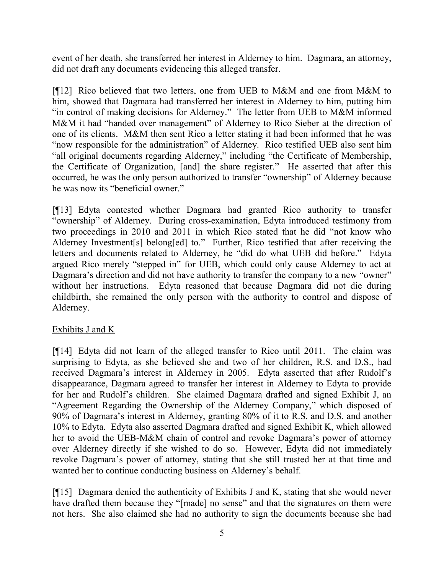event of her death, she transferred her interest in Alderney to him. Dagmara, an attorney, did not draft any documents evidencing this alleged transfer.

[¶12] Rico believed that two letters, one from UEB to M&M and one from M&M to him, showed that Dagmara had transferred her interest in Alderney to him, putting him "in control of making decisions for Alderney." The letter from UEB to M&M informed M&M it had "handed over management" of Alderney to Rico Sieber at the direction of one of its clients. M&M then sent Rico a letter stating it had been informed that he was "now responsible for the administration" of Alderney. Rico testified UEB also sent him "all original documents regarding Alderney," including "the Certificate of Membership, the Certificate of Organization, [and] the share register." He asserted that after this occurred, he was the only person authorized to transfer "ownership" of Alderney because he was now its "beneficial owner."

[¶13] Edyta contested whether Dagmara had granted Rico authority to transfer "ownership" of Alderney. During cross-examination, Edyta introduced testimony from two proceedings in 2010 and 2011 in which Rico stated that he did "not know who Alderney Investment[s] belong[ed] to." Further, Rico testified that after receiving the letters and documents related to Alderney, he "did do what UEB did before." Edyta argued Rico merely "stepped in" for UEB, which could only cause Alderney to act at Dagmara's direction and did not have authority to transfer the company to a new "owner" without her instructions. Edyta reasoned that because Dagmara did not die during childbirth, she remained the only person with the authority to control and dispose of Alderney.

## Exhibits J and K

[¶14] Edyta did not learn of the alleged transfer to Rico until 2011. The claim was surprising to Edyta, as she believed she and two of her children, R.S. and D.S., had received Dagmara's interest in Alderney in 2005. Edyta asserted that after Rudolf's disappearance, Dagmara agreed to transfer her interest in Alderney to Edyta to provide for her and Rudolf's children. She claimed Dagmara drafted and signed Exhibit J, an "Agreement Regarding the Ownership of the Alderney Company," which disposed of 90% of Dagmara's interest in Alderney, granting 80% of it to R.S. and D.S. and another 10% to Edyta. Edyta also asserted Dagmara drafted and signed Exhibit K, which allowed her to avoid the UEB-M&M chain of control and revoke Dagmara's power of attorney over Alderney directly if she wished to do so. However, Edyta did not immediately revoke Dagmara's power of attorney, stating that she still trusted her at that time and wanted her to continue conducting business on Alderney's behalf.

[¶15] Dagmara denied the authenticity of Exhibits J and K, stating that she would never have drafted them because they "[made] no sense" and that the signatures on them were not hers. She also claimed she had no authority to sign the documents because she had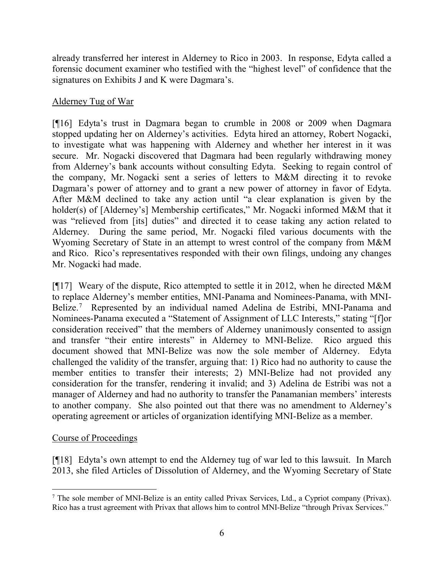already transferred her interest in Alderney to Rico in 2003. In response, Edyta called a forensic document examiner who testified with the "highest level" of confidence that the signatures on Exhibits J and K were Dagmara's.

# Alderney Tug of War

[¶16] Edyta's trust in Dagmara began to crumble in 2008 or 2009 when Dagmara stopped updating her on Alderney's activities. Edyta hired an attorney, Robert Nogacki, to investigate what was happening with Alderney and whether her interest in it was secure. Mr. Nogacki discovered that Dagmara had been regularly withdrawing money from Alderney's bank accounts without consulting Edyta. Seeking to regain control of the company, Mr. Nogacki sent a series of letters to M&M directing it to revoke Dagmara's power of attorney and to grant a new power of attorney in favor of Edyta. After M&M declined to take any action until "a clear explanation is given by the holder(s) of [Alderney's] Membership certificates," Mr. Nogacki informed M&M that it was "relieved from [its] duties" and directed it to cease taking any action related to Alderney. During the same period, Mr. Nogacki filed various documents with the Wyoming Secretary of State in an attempt to wrest control of the company from M&M and Rico. Rico's representatives responded with their own filings, undoing any changes Mr. Nogacki had made.

[¶17] Weary of the dispute, Rico attempted to settle it in 2012, when he directed M&M to replace Alderney's member entities, MNI-Panama and Nominees-Panama, with MNI-Belize.<sup>[7](#page-6-0)</sup> Represented by an individual named Adelina de Estribi, MNI-Panama and Nominees-Panama executed a "Statement of Assignment of LLC Interests," stating "[f]or consideration received" that the members of Alderney unanimously consented to assign and transfer "their entire interests" in Alderney to MNI-Belize. Rico argued this document showed that MNI-Belize was now the sole member of Alderney. Edyta challenged the validity of the transfer, arguing that: 1) Rico had no authority to cause the member entities to transfer their interests; 2) MNI-Belize had not provided any consideration for the transfer, rendering it invalid; and 3) Adelina de Estribi was not a manager of Alderney and had no authority to transfer the Panamanian members' interests to another company. She also pointed out that there was no amendment to Alderney's operating agreement or articles of organization identifying MNI-Belize as a member.

## Course of Proceedings

[¶18] Edyta's own attempt to end the Alderney tug of war led to this lawsuit. In March 2013, she filed Articles of Dissolution of Alderney, and the Wyoming Secretary of State

<span id="page-6-0"></span> <sup>7</sup> The sole member of MNI-Belize is an entity called Privax Services, Ltd., a Cypriot company (Privax). Rico has a trust agreement with Privax that allows him to control MNI-Belize "through Privax Services."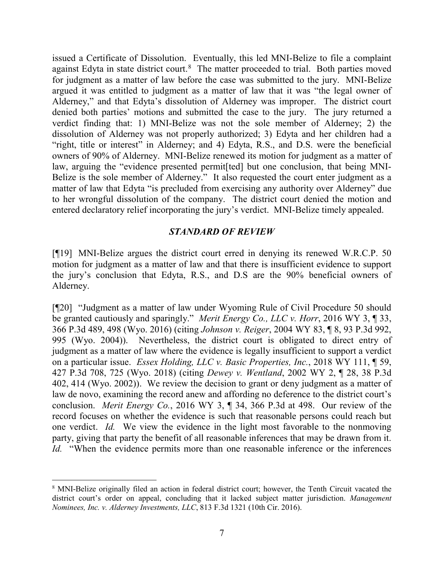issued a Certificate of Dissolution. Eventually, this led MNI-Belize to file a complaint against Edyta in state district court.<sup>[8](#page-7-0)</sup> The matter proceeded to trial. Both parties moved for judgment as a matter of law before the case was submitted to the jury. MNI-Belize argued it was entitled to judgment as a matter of law that it was "the legal owner of Alderney," and that Edyta's dissolution of Alderney was improper. The district court denied both parties' motions and submitted the case to the jury. The jury returned a verdict finding that: 1) MNI-Belize was not the sole member of Alderney; 2) the dissolution of Alderney was not properly authorized; 3) Edyta and her children had a "right, title or interest" in Alderney; and 4) Edyta, R.S., and D.S. were the beneficial owners of 90% of Alderney. MNI-Belize renewed its motion for judgment as a matter of law, arguing the "evidence presented permit[ted] but one conclusion, that being MNI-Belize is the sole member of Alderney." It also requested the court enter judgment as a matter of law that Edyta "is precluded from exercising any authority over Alderney" due to her wrongful dissolution of the company. The district court denied the motion and entered declaratory relief incorporating the jury's verdict. MNI-Belize timely appealed.

#### *STANDARD OF REVIEW*

[¶19] MNI-Belize argues the district court erred in denying its renewed W.R.C.P. 50 motion for judgment as a matter of law and that there is insufficient evidence to support the jury's conclusion that Edyta, R.S., and D.S are the 90% beneficial owners of Alderney.

[¶20] "Judgment as a matter of law under Wyoming Rule of Civil Procedure 50 should be granted cautiously and sparingly." *Merit Energy Co., LLC v. Horr*, 2016 WY 3, ¶ 33, 366 P.3d 489, 498 (Wyo. 2016) (citing *Johnson v. Reiger*, 2004 WY 83, ¶ 8, 93 P.3d 992, 995 (Wyo. 2004)). Nevertheless, the district court is obligated to direct entry of judgment as a matter of law where the evidence is legally insufficient to support a verdict on a particular issue. *Essex Holding, LLC v. Basic Properties, Inc.*, 2018 WY 111, ¶ 59, 427 P.3d 708, 725 (Wyo. 2018) (citing *Dewey v. Wentland*, 2002 WY 2, ¶ 28, 38 P.3d 402, 414 (Wyo. 2002)). We review the decision to grant or deny judgment as a matter of law de novo, examining the record anew and affording no deference to the district court's conclusion. *Merit Energy Co.*, 2016 WY 3, ¶ 34, 366 P.3d at 498. Our review of the record focuses on whether the evidence is such that reasonable persons could reach but one verdict. *Id.* We view the evidence in the light most favorable to the nonmoving party, giving that party the benefit of all reasonable inferences that may be drawn from it. *Id.* "When the evidence permits more than one reasonable inference or the inferences

<span id="page-7-0"></span> <sup>8</sup> MNI-Belize originally filed an action in federal district court; however, the Tenth Circuit vacated the district court's order on appeal, concluding that it lacked subject matter jurisdiction. *Management Nominees, Inc. v. Alderney Investments, LLC*, 813 F.3d 1321 (10th Cir. 2016).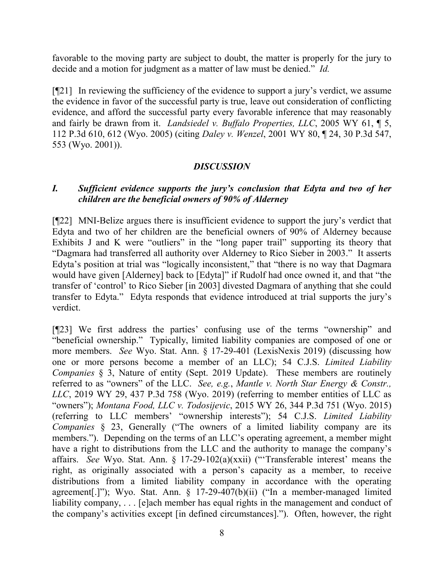favorable to the moving party are subject to doubt, the matter is properly for the jury to decide and a motion for judgment as a matter of law must be denied." *Id.*

[¶21] In reviewing the sufficiency of the evidence to support a jury's verdict, we assume the evidence in favor of the successful party is true, leave out consideration of conflicting evidence, and afford the successful party every favorable inference that may reasonably and fairly be drawn from it. *Landsiedel v. Buffalo Properties, LLC*, 2005 WY 61, ¶ 5, 112 P.3d 610, 612 (Wyo. 2005) (citing *Daley v. Wenzel*, 2001 WY 80, ¶ 24, 30 P.3d 547, 553 (Wyo. 2001)).

## *DISCUSSION*

## *I. Sufficient evidence supports the jury's conclusion that Edyta and two of her children are the beneficial owners of 90% of Alderney*

[¶22] MNI-Belize argues there is insufficient evidence to support the jury's verdict that Edyta and two of her children are the beneficial owners of 90% of Alderney because Exhibits J and K were "outliers" in the "long paper trail" supporting its theory that "Dagmara had transferred all authority over Alderney to Rico Sieber in 2003." It asserts Edyta's position at trial was "logically inconsistent," that "there is no way that Dagmara would have given [Alderney] back to [Edyta]" if Rudolf had once owned it, and that "the transfer of 'control' to Rico Sieber [in 2003] divested Dagmara of anything that she could transfer to Edyta." Edyta responds that evidence introduced at trial supports the jury's verdict.

[¶23] We first address the parties' confusing use of the terms "ownership" and "beneficial ownership." Typically, limited liability companies are composed of one or more members. *See* Wyo. Stat. Ann. § 17-29-401 (LexisNexis 2019) (discussing how one or more persons become a member of an LLC); 54 C.J.S. *Limited Liability Companies* § 3, Nature of entity (Sept. 2019 Update). These members are routinely referred to as "owners" of the LLC. *See, e.g.*, *Mantle v. North Star Energy & Constr., LLC*, 2019 WY 29, 437 P.3d 758 (Wyo. 2019) (referring to member entities of LLC as "owners"); *Montana Food, LLC v. Todosijevic*, 2015 WY 26, 344 P.3d 751 (Wyo. 2015) (referring to LLC members' "ownership interests"); 54 C.J.S. *Limited Liability Companies* § 23, Generally ("The owners of a limited liability company are its members."). Depending on the terms of an LLC's operating agreement, a member might have a right to distributions from the LLC and the authority to manage the company's affairs. *See* Wyo. Stat. Ann. § 17-29-102(a)(xxii) ("'Transferable interest' means the right, as originally associated with a person's capacity as a member, to receive distributions from a limited liability company in accordance with the operating agreement[.]"); Wyo. Stat. Ann. § 17-29-407(b)(ii) ("In a member-managed limited liability company, . . . [e]ach member has equal rights in the management and conduct of the company's activities except [in defined circumstances]."). Often, however, the right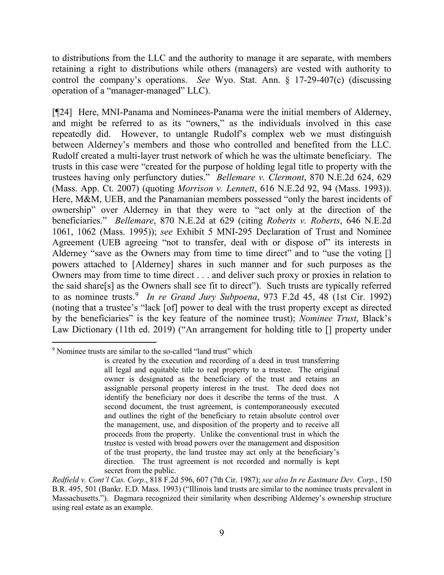to distributions from the LLC and the authority to manage it are separate, with members retaining a right to distributions while others (managers) are vested with authority to control the company's operations. *See* Wyo. Stat. Ann. § 17-29-407(c) (discussing operation of a "manager-managed" LLC).

[¶24] Here, MNI-Panama and Nominees-Panama were the initial members of Alderney, and might be referred to as its "owners," as the individuals involved in this case repeatedly did. However, to untangle Rudolf's complex web we must distinguish between Alderney's members and those who controlled and benefited from the LLC. Rudolf created a multi-layer trust network of which he was the ultimate beneficiary. The trusts in this case were "created for the purpose of holding legal title to property with the trustees having only perfunctory duties." *Bellemare v. Clermont*, 870 N.E.2d 624, 629 (Mass. App. Ct. 2007) (quoting *Morrison v. Lennett*, 616 N.E.2d 92, 94 (Mass. 1993)). Here, M&M, UEB, and the Panamanian members possessed "only the barest incidents of ownership" over Alderney in that they were to "act only at the direction of the beneficiaries." *Bellemare*, 870 N.E.2d at 629 (citing *Roberts v. Roberts*, 646 N.E.2d 1061, 1062 (Mass. 1995)); *see* Exhibit 5 MNI-295 Declaration of Trust and Nominee Agreement (UEB agreeing "not to transfer, deal with or dispose of" its interests in Alderney "save as the Owners may from time to time direct" and to "use the voting [] powers attached to [Alderney] shares in such manner and for such purposes as the Owners may from time to time direct . . . and deliver such proxy or proxies in relation to the said share[s] as the Owners shall see fit to direct"). Such trusts are typically referred to as nominee trusts.<sup>[9](#page-9-0)</sup> In re Grand Jury Subpoena, 973 F.2d 45, 48 (1st Cir. 1992) (noting that a trustee's "lack [of] power to deal with the trust property except as directed by the beneficiaries" is the key feature of the nominee trust); *Nominee Trust*, Black's Law Dictionary (11th ed. 2019) ("An arrangement for holding title to [] property under

<span id="page-9-0"></span> <sup>9</sup> Nominee trusts are similar to the so-called "land trust" which

is created by the execution and recording of a deed in trust transferring all legal and equitable title to real property to a trustee. The original owner is designated as the beneficiary of the trust and retains an assignable personal property interest in the trust. The deed does not identify the beneficiary nor does it describe the terms of the trust. A second document, the trust agreement, is contemporaneously executed and outlines the right of the beneficiary to retain absolute control over the management, use, and disposition of the property and to receive all proceeds from the property. Unlike the conventional trust in which the trustee is vested with broad powers over the management and disposition of the trust property, the land trustee may act only at the beneficiary's direction. The trust agreement is not recorded and normally is kept secret from the public.

*Redfield v. Cont'l Cas. Corp.*, 818 F.2d 596, 607 (7th Cir. 1987); *see also In re Eastmare Dev. Corp.*, 150 B.R. 495, 501 (Bankr. E.D. Mass. 1993) ("Illinois land trusts are similar to the nominee trusts prevalent in Massachusetts."). Dagmara recognized their similarity when describing Alderney's ownership structure using real estate as an example.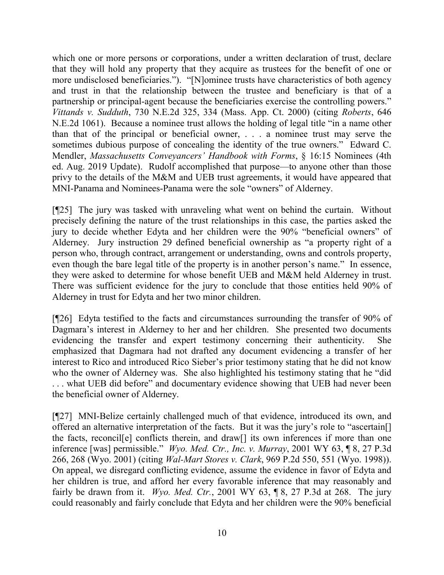which one or more persons or corporations, under a written declaration of trust, declare that they will hold any property that they acquire as trustees for the benefit of one or more undisclosed beneficiaries."). "[N]ominee trusts have characteristics of both agency and trust in that the relationship between the trustee and beneficiary is that of a partnership or principal-agent because the beneficiaries exercise the controlling powers." *Vittands v. Sudduth*, 730 N.E.2d 325, 334 (Mass. App. Ct. 2000) (citing *Roberts*, 646 N.E.2d 1061). Because a nominee trust allows the holding of legal title "in a name other than that of the principal or beneficial owner, . . . a nominee trust may serve the sometimes dubious purpose of concealing the identity of the true owners." Edward C. Mendler, *Massachusetts Conveyancers' Handbook with Forms*, § 16:15 Nominees (4th ed. Aug. 2019 Update). Rudolf accomplished that purpose—to anyone other than those privy to the details of the M&M and UEB trust agreements, it would have appeared that MNI-Panama and Nominees-Panama were the sole "owners" of Alderney.

[¶25] The jury was tasked with unraveling what went on behind the curtain. Without precisely defining the nature of the trust relationships in this case, the parties asked the jury to decide whether Edyta and her children were the 90% "beneficial owners" of Alderney. Jury instruction 29 defined beneficial ownership as "a property right of a person who, through contract, arrangement or understanding, owns and controls property, even though the bare legal title of the property is in another person's name." In essence, they were asked to determine for whose benefit UEB and M&M held Alderney in trust. There was sufficient evidence for the jury to conclude that those entities held 90% of Alderney in trust for Edyta and her two minor children.

[¶26] Edyta testified to the facts and circumstances surrounding the transfer of 90% of Dagmara's interest in Alderney to her and her children. She presented two documents evidencing the transfer and expert testimony concerning their authenticity. She emphasized that Dagmara had not drafted any document evidencing a transfer of her interest to Rico and introduced Rico Sieber's prior testimony stating that he did not know who the owner of Alderney was. She also highlighted his testimony stating that he "did . . . what UEB did before" and documentary evidence showing that UEB had never been the beneficial owner of Alderney.

[¶27] MNI-Belize certainly challenged much of that evidence, introduced its own, and offered an alternative interpretation of the facts. But it was the jury's role to "ascertain[] the facts, reconcil[e] conflicts therein, and draw[] its own inferences if more than one inference [was] permissible." *Wyo. Med. Ctr., Inc. v. Murray*, 2001 WY 63, ¶ 8, 27 P.3d 266, 268 (Wyo. 2001) (citing *Wal-Mart Stores v. Clark*, 969 P.2d 550, 551 (Wyo. 1998)). On appeal, we disregard conflicting evidence, assume the evidence in favor of Edyta and her children is true, and afford her every favorable inference that may reasonably and fairly be drawn from it. *Wyo. Med. Ctr.*, 2001 WY 63, ¶ 8, 27 P.3d at 268.The jury could reasonably and fairly conclude that Edyta and her children were the 90% beneficial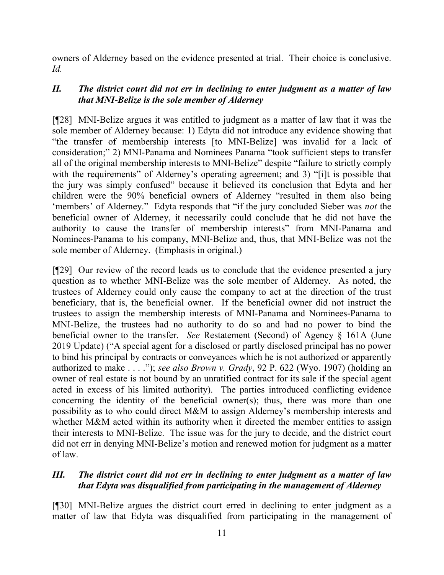owners of Alderney based on the evidence presented at trial. Their choice is conclusive. *Id.* 

# *II. The district court did not err in declining to enter judgment as a matter of law that MNI-Belize is the sole member of Alderney*

[¶28] MNI-Belize argues it was entitled to judgment as a matter of law that it was the sole member of Alderney because: 1) Edyta did not introduce any evidence showing that "the transfer of membership interests [to MNI-Belize] was invalid for a lack of consideration;" 2) MNI-Panama and Nominees Panama "took sufficient steps to transfer all of the original membership interests to MNI-Belize" despite "failure to strictly comply with the requirements" of Alderney's operating agreement; and 3) "[i]t is possible that the jury was simply confused" because it believed its conclusion that Edyta and her children were the 90% beneficial owners of Alderney "resulted in them also being 'members' of Alderney." Edyta responds that "if the jury concluded Sieber was *not* the beneficial owner of Alderney, it necessarily could conclude that he did not have the authority to cause the transfer of membership interests" from MNI-Panama and Nominees-Panama to his company, MNI-Belize and, thus, that MNI-Belize was not the sole member of Alderney. (Emphasis in original.)

[¶29] Our review of the record leads us to conclude that the evidence presented a jury question as to whether MNI-Belize was the sole member of Alderney. As noted, the trustees of Alderney could only cause the company to act at the direction of the trust beneficiary, that is, the beneficial owner. If the beneficial owner did not instruct the trustees to assign the membership interests of MNI-Panama and Nominees-Panama to MNI-Belize, the trustees had no authority to do so and had no power to bind the beneficial owner to the transfer. *See* Restatement (Second) of Agency § 161A (June 2019 Update) ("A special agent for a disclosed or partly disclosed principal has no power to bind his principal by contracts or conveyances which he is not authorized or apparently authorized to make . . . ."); *see also Brown v. Grady*, 92 P. 622 (Wyo. 1907) (holding an owner of real estate is not bound by an unratified contract for its sale if the special agent acted in excess of his limited authority). The parties introduced conflicting evidence concerning the identity of the beneficial owner(s); thus, there was more than one possibility as to who could direct M&M to assign Alderney's membership interests and whether M&M acted within its authority when it directed the member entities to assign their interests to MNI-Belize. The issue was for the jury to decide, and the district court did not err in denying MNI-Belize's motion and renewed motion for judgment as a matter of law.

# *III. The district court did not err in declining to enter judgment as a matter of law that Edyta was disqualified from participating in the management of Alderney*

[¶30] MNI-Belize argues the district court erred in declining to enter judgment as a matter of law that Edyta was disqualified from participating in the management of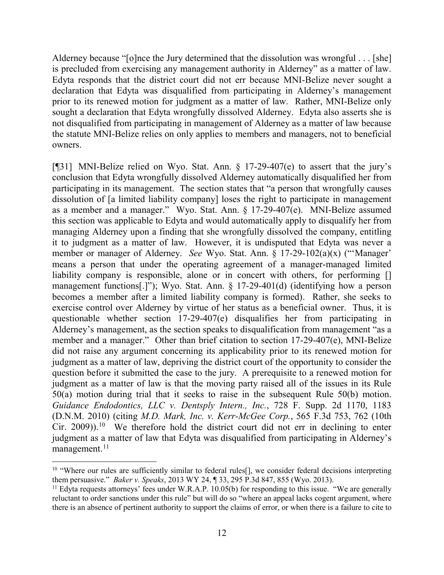Alderney because "[o]nce the Jury determined that the dissolution was wrongful . . . [she] is precluded from exercising any management authority in Alderney" as a matter of law. Edyta responds that the district court did not err because MNI-Belize never sought a declaration that Edyta was disqualified from participating in Alderney's management prior to its renewed motion for judgment as a matter of law. Rather, MNI-Belize only sought a declaration that Edyta wrongfully dissolved Alderney. Edyta also asserts she is not disqualified from participating in management of Alderney as a matter of law because the statute MNI-Belize relies on only applies to members and managers, not to beneficial owners.

[¶31] MNI-Belize relied on Wyo. Stat. Ann. § 17-29-407(e) to assert that the jury's conclusion that Edyta wrongfully dissolved Alderney automatically disqualified her from participating in its management. The section states that "a person that wrongfully causes dissolution of [a limited liability company] loses the right to participate in management as a member and a manager." Wyo. Stat. Ann. § 17-29-407(e). MNI-Belize assumed this section was applicable to Edyta and would automatically apply to disqualify her from managing Alderney upon a finding that she wrongfully dissolved the company, entitling it to judgment as a matter of law. However, it is undisputed that Edyta was never a member or manager of Alderney. *See* Wyo. Stat. Ann. § 17-29-102(a)(x) ("'Manager' means a person that under the operating agreement of a manager-managed limited liability company is responsible, alone or in concert with others, for performing [] management functions[.]"); Wyo. Stat. Ann. § 17-29-401(d) (identifying how a person becomes a member after a limited liability company is formed). Rather, she seeks to exercise control over Alderney by virtue of her status as a beneficial owner. Thus, it is questionable whether section 17-29-407(e) disqualifies her from participating in Alderney's management, as the section speaks to disqualification from management "as a member and a manager." Other than brief citation to section 17-29-407(e), MNI-Belize did not raise any argument concerning its applicability prior to its renewed motion for judgment as a matter of law, depriving the district court of the opportunity to consider the question before it submitted the case to the jury. A prerequisite to a renewed motion for judgment as a matter of law is that the moving party raised all of the issues in its Rule 50(a) motion during trial that it seeks to raise in the subsequent Rule 50(b) motion. *Guidance Endodontics, LLC v. Dentsply Intern., Inc.*, 728 F. Supp. 2d 1170, 1183 (D.N.M. 2010) (citing *M.D. Mark, Inc. v. Kerr-McGee Corp.*, 565 F.3d 753, 762 (10th Cir. 2009)).<sup>[10](#page-12-0)</sup> We therefore hold the district court did not err in declining to enter judgment as a matter of law that Edyta was disqualified from participating in Alderney's  $m$ anagement.<sup>[11](#page-12-1)</sup>

<span id="page-12-0"></span><sup>&</sup>lt;sup>10</sup> "Where our rules are sufficiently similar to federal rules<sup>[]</sup>, we consider federal decisions interpreting them persuasive." *Baker v. Speaks*, 2013 WY 24, ¶ 33, 295 P.3d 847, 855 (Wyo. 2013).

<span id="page-12-1"></span><sup>&</sup>lt;sup>11</sup> Edyta requests attorneys' fees under W.R.A.P. 10.05(b) for responding to this issue. "We are generally reluctant to order sanctions under this rule" but will do so "where an appeal lacks cogent argument, where there is an absence of pertinent authority to support the claims of error, or when there is a failure to cite to